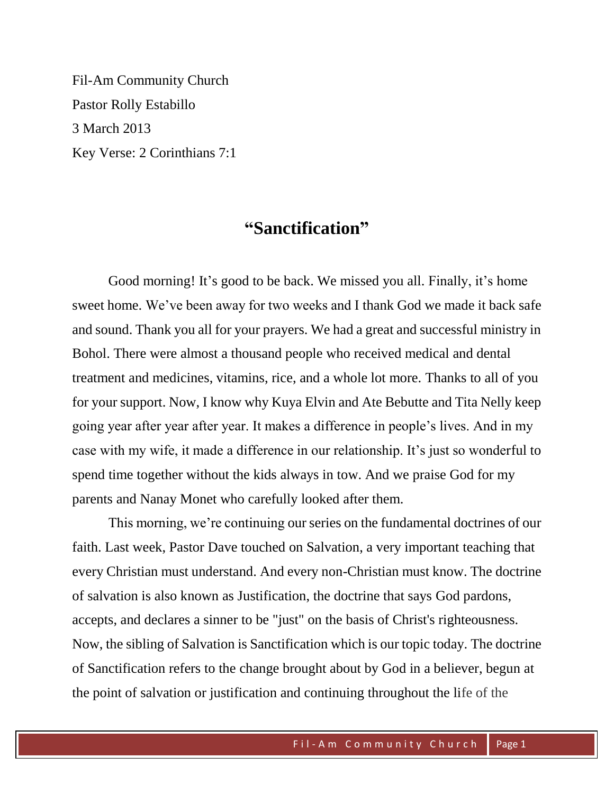Fil-Am Community Church Pastor Rolly Estabillo 3 March 2013 Key Verse: 2 Corinthians 7:1

## **"Sanctification"**

Good morning! It's good to be back. We missed you all. Finally, it's home sweet home. We've been away for two weeks and I thank God we made it back safe and sound. Thank you all for your prayers. We had a great and successful ministry in Bohol. There were almost a thousand people who received medical and dental treatment and medicines, vitamins, rice, and a whole lot more. Thanks to all of you for your support. Now, I know why Kuya Elvin and Ate Bebutte and Tita Nelly keep going year after year after year. It makes a difference in people's lives. And in my case with my wife, it made a difference in our relationship. It's just so wonderful to spend time together without the kids always in tow. And we praise God for my parents and Nanay Monet who carefully looked after them.

This morning, we're continuing our series on the fundamental doctrines of our faith. Last week, Pastor Dave touched on Salvation, a very important teaching that every Christian must understand. And every non-Christian must know. The doctrine of salvation is also known as Justification, the doctrine that says [God](http://www.theopedia.com/God) pardons, accepts, and declares a sinner to be "just" on the basis of Christ's righteousness. Now, the sibling of Salvation is Sanctification which is our topic today. The doctrine of Sanctification refers to the change brought about by God in a believer, begun at the point of [salvation](http://www.theopedia.com/Salvation) or [justification](http://www.theopedia.com/Justification) and continuing throughout the life of the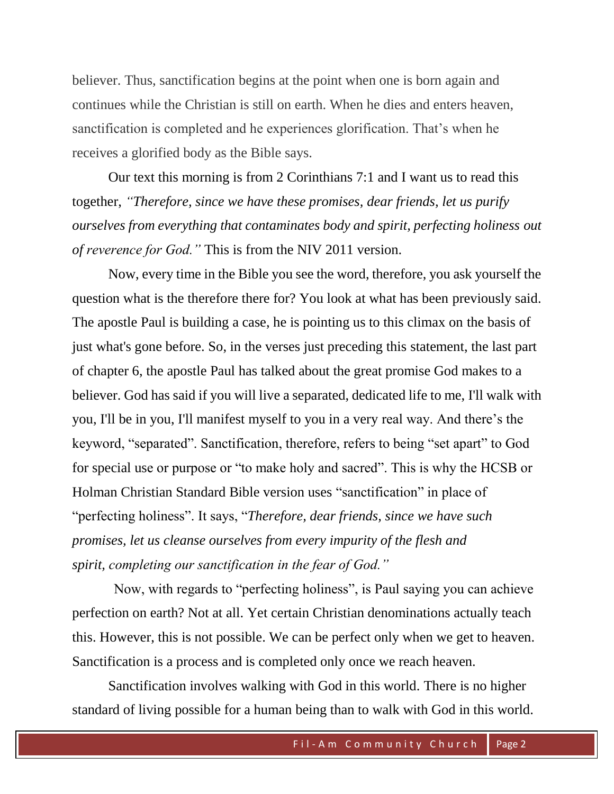believer. Thus, sanctification begins at the point when one is born again and continues while the Christian is still on earth. When he dies and enters heaven, sanctification is completed and he experiences glorification. That's when he receives a glorified body as the Bible says.

Our text this morning is from 2 Corinthians 7:1 and I want us to read this together, *"Therefore, since we have these promises, dear friends, let us purify ourselves from everything that contaminates body and spirit, perfecting holiness out of reverence for God."* This is from the NIV 2011 version.

Now, every time in the Bible you see the word, therefore, you ask yourself the question what is the therefore there for? You look at what has been previously said. The apostle Paul is building a case, he is pointing us to this climax on the basis of just what's gone before. So, in the verses just preceding this statement, the last part of chapter 6, the apostle Paul has talked about the great promise God makes to a believer. God has said if you will live a separated, dedicated life to me, I'll walk with you, I'll be in you, I'll manifest myself to you in a very real way. And there's the keyword, "separated". Sanctification, therefore, refers to being "set apart" to God for special use or purpose or "to make holy and sacred". This is why the HCSB or Holman Christian Standard Bible version uses "sanctification" in place of "perfecting holiness". It says, "*Therefore, dear friends, since we have such promises, let us cleanse ourselves from every impurity of the flesh and spirit, completing our sanctification in the fear of God."*

Now, with regards to "perfecting holiness", is Paul saying you can achieve perfection on earth? Not at all. Yet certain Christian denominations actually teach this. However, this is not possible. We can be perfect only when we get to heaven. Sanctification is a process and is completed only once we reach heaven.

Sanctification involves walking with God in this world. There is no higher standard of living possible for a human being than to walk with God in this world.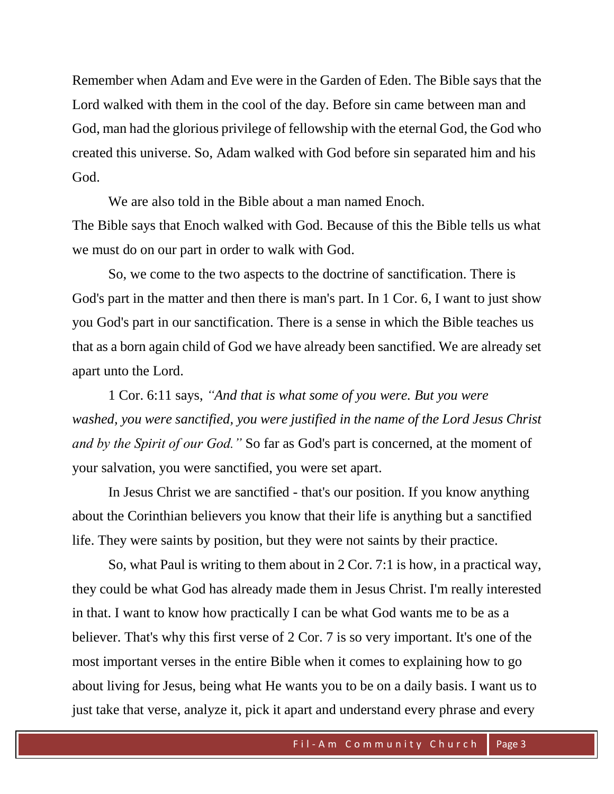Remember when Adam and Eve were in the Garden of Eden. The Bible says that the Lord walked with them in the cool of the day. Before sin came between man and God, man had the glorious privilege of fellowship with the eternal God, the God who created this universe. So, Adam walked with God before sin separated him and his God.

We are also told in the Bible about a man named Enoch. The Bible says that Enoch walked with God. Because of this the Bible tells us what we must do on our part in order to walk with God.

So, we come to the two aspects to the doctrine of sanctification. There is God's part in the matter and then there is man's part. In 1 Cor. 6, I want to just show you God's part in our sanctification. There is a sense in which the Bible teaches us that as a born again child of God we have already been sanctified. We are already set apart unto the Lord.

1 Cor. 6:11 says, *"And that is what some of you were. But you were washed, you were sanctified, you were justified in the name of the Lord Jesus Christ and by the Spirit of our God."* So far as God's part is concerned, at the moment of your salvation, you were sanctified, you were set apart.

In Jesus Christ we are sanctified - that's our position. If you know anything about the Corinthian believers you know that their life is anything but a sanctified life. They were saints by position, but they were not saints by their practice.

So, what Paul is writing to them about in 2 Cor. 7:1 is how, in a practical way, they could be what God has already made them in Jesus Christ. I'm really interested in that. I want to know how practically I can be what God wants me to be as a believer. That's why this first verse of 2 Cor. 7 is so very important. It's one of the most important verses in the entire Bible when it comes to explaining how to go about living for Jesus, being what He wants you to be on a daily basis. I want us to just take that verse, analyze it, pick it apart and understand every phrase and every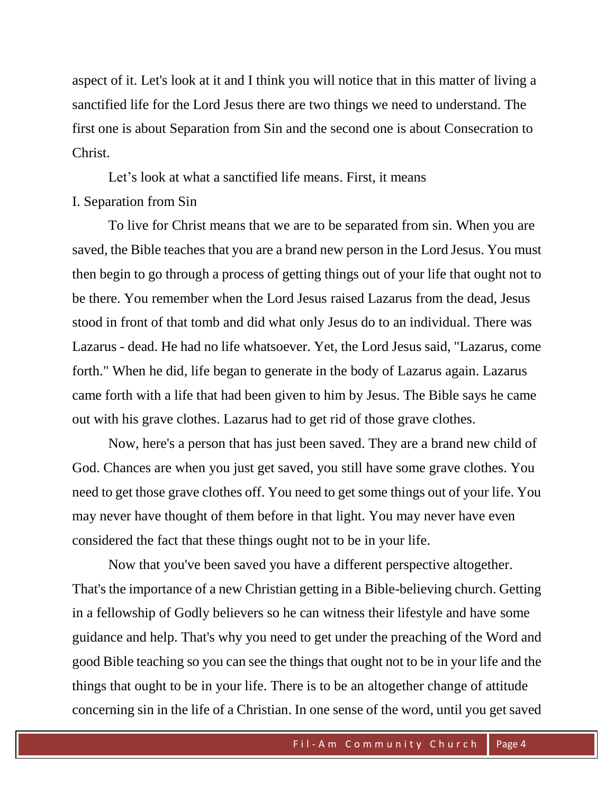aspect of it. Let's look at it and I think you will notice that in this matter of living a sanctified life for the Lord Jesus there are two things we need to understand. The first one is about Separation from Sin and the second one is about Consecration to Christ.

Let's look at what a sanctified life means. First, it means I. Separation from Sin

To live for Christ means that we are to be separated from sin. When you are saved, the Bible teaches that you are a brand new person in the Lord Jesus. You must then begin to go through a process of getting things out of your life that ought not to be there. You remember when the Lord Jesus raised Lazarus from the dead, Jesus stood in front of that tomb and did what only Jesus do to an individual. There was Lazarus - dead. He had no life whatsoever. Yet, the Lord Jesus said, "Lazarus, come forth." When he did, life began to generate in the body of Lazarus again. Lazarus came forth with a life that had been given to him by Jesus. The Bible says he came out with his grave clothes. Lazarus had to get rid of those grave clothes.

Now, here's a person that has just been saved. They are a brand new child of God. Chances are when you just get saved, you still have some grave clothes. You need to get those grave clothes off. You need to get some things out of your life. You may never have thought of them before in that light. You may never have even considered the fact that these things ought not to be in your life.

Now that you've been saved you have a different perspective altogether. That's the importance of a new Christian getting in a Bible-believing church. Getting in a fellowship of Godly believers so he can witness their lifestyle and have some guidance and help. That's why you need to get under the preaching of the Word and good Bible teaching so you can see the things that ought not to be in your life and the things that ought to be in your life. There is to be an altogether change of attitude concerning sin in the life of a Christian. In one sense of the word, until you get saved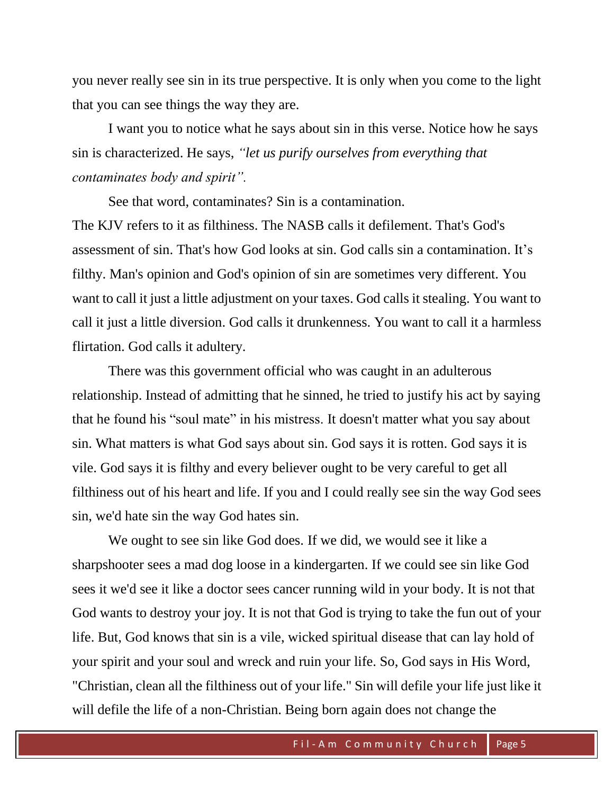you never really see sin in its true perspective. It is only when you come to the light that you can see things the way they are.

I want you to notice what he says about sin in this verse. Notice how he says sin is characterized. He says, *"let us purify ourselves from everything that contaminates body and spirit".*

See that word, contaminates? Sin is a contamination.

The KJV refers to it as filthiness. The NASB calls it defilement. That's God's assessment of sin. That's how God looks at sin. God calls sin a contamination. It's filthy. Man's opinion and God's opinion of sin are sometimes very different. You want to call it just a little adjustment on your taxes. God calls it stealing. You want to call it just a little diversion. God calls it drunkenness. You want to call it a harmless flirtation. God calls it adultery.

There was this government official who was caught in an adulterous relationship. Instead of admitting that he sinned, he tried to justify his act by saying that he found his "soul mate" in his mistress. It doesn't matter what you say about sin. What matters is what God says about sin. God says it is rotten. God says it is vile. God says it is filthy and every believer ought to be very careful to get all filthiness out of his heart and life. If you and I could really see sin the way God sees sin, we'd hate sin the way God hates sin.

We ought to see sin like God does. If we did, we would see it like a sharpshooter sees a mad dog loose in a kindergarten. If we could see sin like God sees it we'd see it like a doctor sees cancer running wild in your body. It is not that God wants to destroy your joy. It is not that God is trying to take the fun out of your life. But, God knows that sin is a vile, wicked spiritual disease that can lay hold of your spirit and your soul and wreck and ruin your life. So, God says in His Word, "Christian, clean all the filthiness out of your life." Sin will defile your life just like it will defile the life of a non-Christian. Being born again does not change the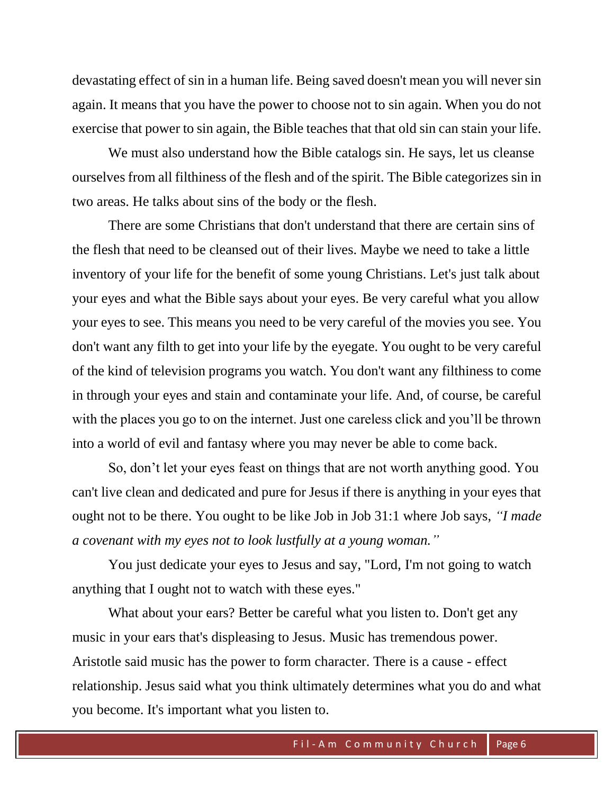devastating effect of sin in a human life. Being saved doesn't mean you will never sin again. It means that you have the power to choose not to sin again. When you do not exercise that power to sin again, the Bible teaches that that old sin can stain your life.

We must also understand how the Bible catalogs sin. He says, let us cleanse ourselves from all filthiness of the flesh and of the spirit. The Bible categorizes sin in two areas. He talks about sins of the body or the flesh.

There are some Christians that don't understand that there are certain sins of the flesh that need to be cleansed out of their lives. Maybe we need to take a little inventory of your life for the benefit of some young Christians. Let's just talk about your eyes and what the Bible says about your eyes. Be very careful what you allow your eyes to see. This means you need to be very careful of the movies you see. You don't want any filth to get into your life by the eyegate. You ought to be very careful of the kind of television programs you watch. You don't want any filthiness to come in through your eyes and stain and contaminate your life. And, of course, be careful with the places you go to on the internet. Just one careless click and you'll be thrown into a world of evil and fantasy where you may never be able to come back.

So, don't let your eyes feast on things that are not worth anything good. You can't live clean and dedicated and pure for Jesus if there is anything in your eyes that ought not to be there. You ought to be like Job in Job 31:1 where Job says, *"I made a covenant with my eyes not to look lustfully at a young woman."*

You just dedicate your eyes to Jesus and say, "Lord, I'm not going to watch anything that I ought not to watch with these eyes."

What about your ears? Better be careful what you listen to. Don't get any music in your ears that's displeasing to Jesus. Music has tremendous power. Aristotle said music has the power to form character. There is a cause - effect relationship. Jesus said what you think ultimately determines what you do and what you become. It's important what you listen to.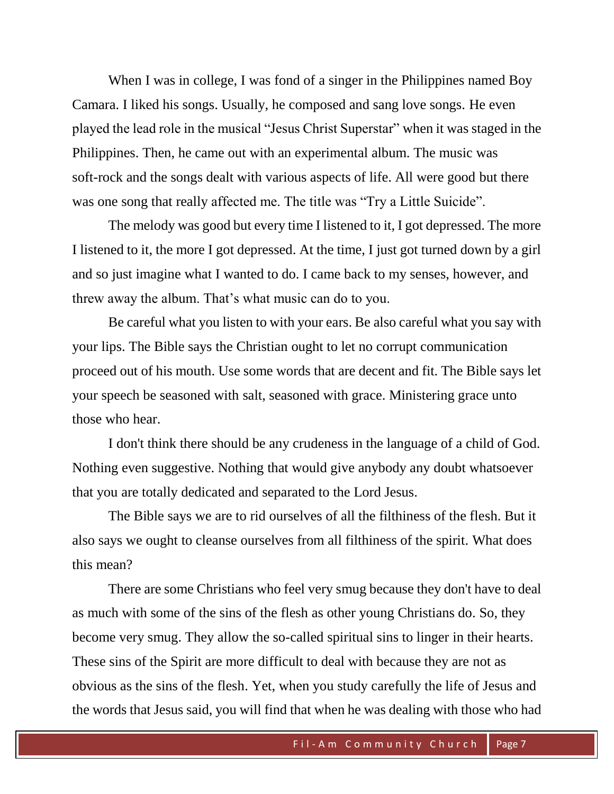When I was in college, I was fond of a singer in the Philippines named Boy Camara. I liked his songs. Usually, he composed and sang love songs. He even played the lead role in the musical "Jesus Christ Superstar" when it was staged in the Philippines. Then, he came out with an experimental album. The music was soft-rock and the songs dealt with various aspects of life. All were good but there was one song that really affected me. The title was "Try a Little Suicide".

The melody was good but every time I listened to it, I got depressed. The more I listened to it, the more I got depressed. At the time, I just got turned down by a girl and so just imagine what I wanted to do. I came back to my senses, however, and threw away the album. That's what music can do to you.

Be careful what you listen to with your ears. Be also careful what you say with your lips. The Bible says the Christian ought to let no corrupt communication proceed out of his mouth. Use some words that are decent and fit. The Bible says let your speech be seasoned with salt, seasoned with grace. Ministering grace unto those who hear.

I don't think there should be any crudeness in the language of a child of God. Nothing even suggestive. Nothing that would give anybody any doubt whatsoever that you are totally dedicated and separated to the Lord Jesus.

The Bible says we are to rid ourselves of all the filthiness of the flesh. But it also says we ought to cleanse ourselves from all filthiness of the spirit. What does this mean?

There are some Christians who feel very smug because they don't have to deal as much with some of the sins of the flesh as other young Christians do. So, they become very smug. They allow the so-called spiritual sins to linger in their hearts. These sins of the Spirit are more difficult to deal with because they are not as obvious as the sins of the flesh. Yet, when you study carefully the life of Jesus and the words that Jesus said, you will find that when he was dealing with those who had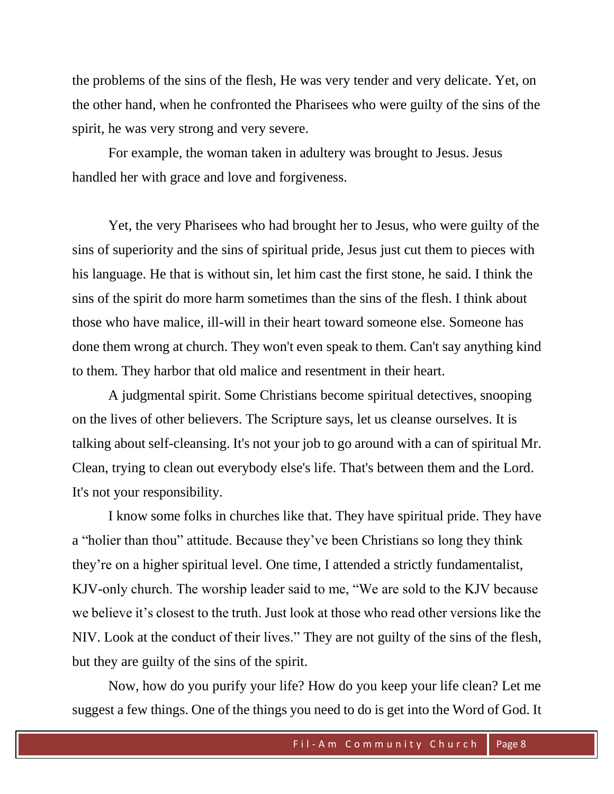the problems of the sins of the flesh, He was very tender and very delicate. Yet, on the other hand, when he confronted the Pharisees who were guilty of the sins of the spirit, he was very strong and very severe.

For example, the woman taken in adultery was brought to Jesus. Jesus handled her with grace and love and forgiveness.

Yet, the very Pharisees who had brought her to Jesus, who were guilty of the sins of superiority and the sins of spiritual pride, Jesus just cut them to pieces with his language. He that is without sin, let him cast the first stone, he said. I think the sins of the spirit do more harm sometimes than the sins of the flesh. I think about those who have malice, ill-will in their heart toward someone else. Someone has done them wrong at church. They won't even speak to them. Can't say anything kind to them. They harbor that old malice and resentment in their heart.

A judgmental spirit. Some Christians become spiritual detectives, snooping on the lives of other believers. The Scripture says, let us cleanse ourselves. It is talking about self-cleansing. It's not your job to go around with a can of spiritual Mr. Clean, trying to clean out everybody else's life. That's between them and the Lord. It's not your responsibility.

I know some folks in churches like that. They have spiritual pride. They have a "holier than thou" attitude. Because they've been Christians so long they think they're on a higher spiritual level. One time, I attended a strictly fundamentalist, KJV-only church. The worship leader said to me, "We are sold to the KJV because we believe it's closest to the truth. Just look at those who read other versions like the NIV. Look at the conduct of their lives." They are not guilty of the sins of the flesh, but they are guilty of the sins of the spirit.

Now, how do you purify your life? How do you keep your life clean? Let me suggest a few things. One of the things you need to do is get into the Word of God. It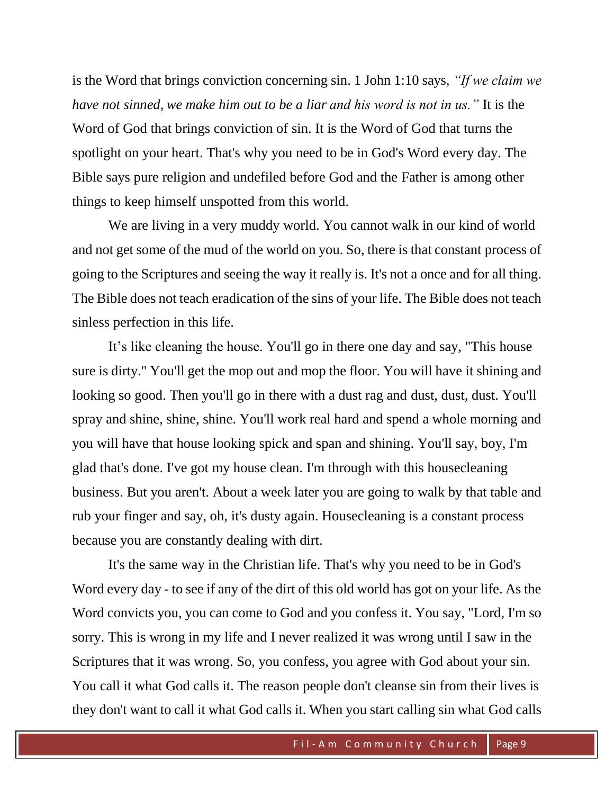is the Word that brings conviction concerning sin. 1 John 1:10 says, *"If we claim we have not sinned, we make him out to be a liar and his word is not in us."* It is the Word of God that brings conviction of sin. It is the Word of God that turns the spotlight on your heart. That's why you need to be in God's Word every day. The Bible says pure religion and undefiled before God and the Father is among other things to keep himself unspotted from this world.

We are living in a very muddy world. You cannot walk in our kind of world and not get some of the mud of the world on you. So, there is that constant process of going to the Scriptures and seeing the way it really is. It's not a once and for all thing. The Bible does not teach eradication of the sins of your life. The Bible does not teach sinless perfection in this life.

It's like cleaning the house. You'll go in there one day and say, "This house sure is dirty." You'll get the mop out and mop the floor. You will have it shining and looking so good. Then you'll go in there with a dust rag and dust, dust, dust. You'll spray and shine, shine, shine. You'll work real hard and spend a whole morning and you will have that house looking spick and span and shining. You'll say, boy, I'm glad that's done. I've got my house clean. I'm through with this housecleaning business. But you aren't. About a week later you are going to walk by that table and rub your finger and say, oh, it's dusty again. Housecleaning is a constant process because you are constantly dealing with dirt.

It's the same way in the Christian life. That's why you need to be in God's Word every day - to see if any of the dirt of this old world has got on your life. As the Word convicts you, you can come to God and you confess it. You say, "Lord, I'm so sorry. This is wrong in my life and I never realized it was wrong until I saw in the Scriptures that it was wrong. So, you confess, you agree with God about your sin. You call it what God calls it. The reason people don't cleanse sin from their lives is they don't want to call it what God calls it. When you start calling sin what God calls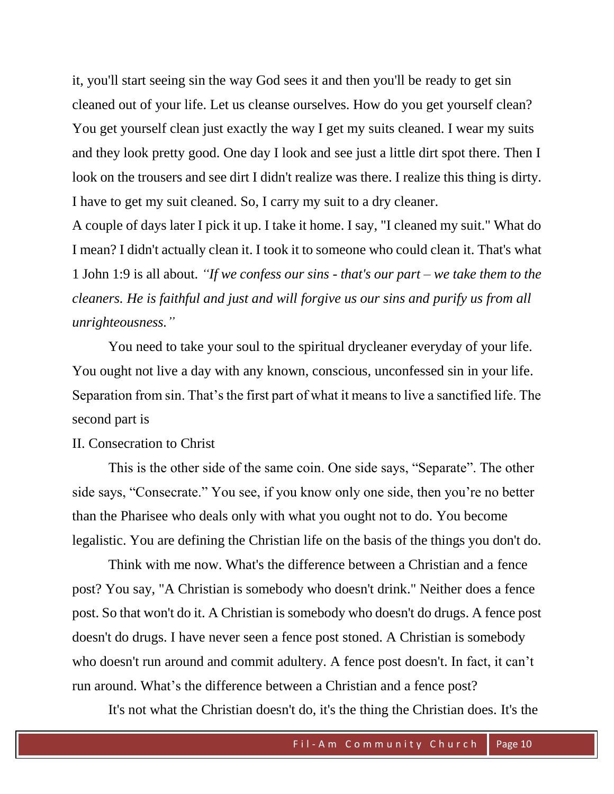it, you'll start seeing sin the way God sees it and then you'll be ready to get sin cleaned out of your life. Let us cleanse ourselves. How do you get yourself clean? You get yourself clean just exactly the way I get my suits cleaned. I wear my suits and they look pretty good. One day I look and see just a little dirt spot there. Then I look on the trousers and see dirt I didn't realize was there. I realize this thing is dirty. I have to get my suit cleaned. So, I carry my suit to a dry cleaner.

A couple of days later I pick it up. I take it home. I say, "I cleaned my suit." What do I mean? I didn't actually clean it. I took it to someone who could clean it. That's what 1 John 1:9 is all about. *"If we confess our sins - that's our part – we take them to the cleaners. He is faithful and just and will forgive us our sins and purify us from all unrighteousness."*

You need to take your soul to the spiritual drycleaner everyday of your life. You ought not live a day with any known, conscious, unconfessed sin in your life. Separation from sin. That's the first part of what it means to live a sanctified life. The second part is

## II. Consecration to Christ

This is the other side of the same coin. One side says, "Separate". The other side says, "Consecrate." You see, if you know only one side, then you're no better than the Pharisee who deals only with what you ought not to do. You become legalistic. You are defining the Christian life on the basis of the things you don't do.

Think with me now. What's the difference between a Christian and a fence post? You say, "A Christian is somebody who doesn't drink." Neither does a fence post. So that won't do it. A Christian is somebody who doesn't do drugs. A fence post doesn't do drugs. I have never seen a fence post stoned. A Christian is somebody who doesn't run around and commit adultery. A fence post doesn't. In fact, it can't run around. What's the difference between a Christian and a fence post?

It's not what the Christian doesn't do, it's the thing the Christian does. It's the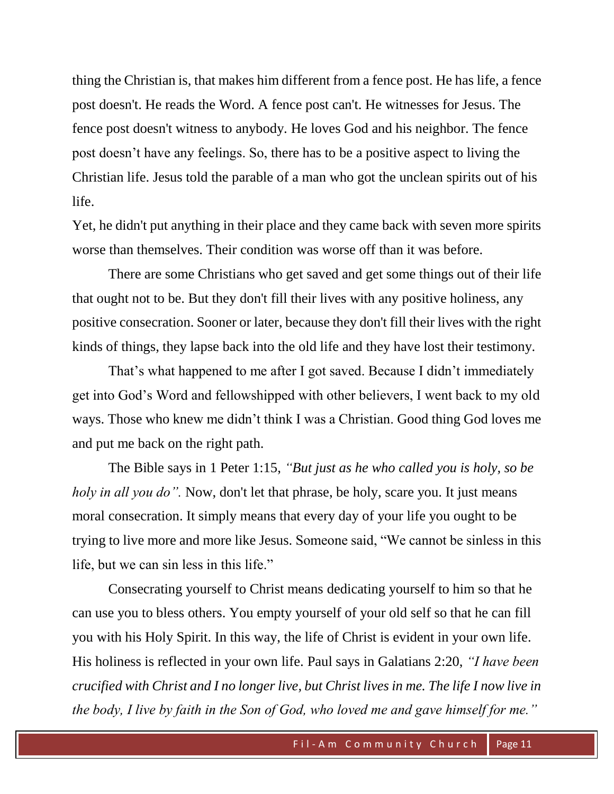thing the Christian is, that makes him different from a fence post. He has life, a fence post doesn't. He reads the Word. A fence post can't. He witnesses for Jesus. The fence post doesn't witness to anybody. He loves God and his neighbor. The fence post doesn't have any feelings. So, there has to be a positive aspect to living the Christian life. Jesus told the parable of a man who got the unclean spirits out of his life.

Yet, he didn't put anything in their place and they came back with seven more spirits worse than themselves. Their condition was worse off than it was before.

There are some Christians who get saved and get some things out of their life that ought not to be. But they don't fill their lives with any positive holiness, any positive consecration. Sooner or later, because they don't fill their lives with the right kinds of things, they lapse back into the old life and they have lost their testimony.

That's what happened to me after I got saved. Because I didn't immediately get into God's Word and fellowshipped with other believers, I went back to my old ways. Those who knew me didn't think I was a Christian. Good thing God loves me and put me back on the right path.

The Bible says in 1 Peter 1:15, *"But just as he who called you is holy, so be holy in all you do".* Now, don't let that phrase, be holy, scare you. It just means moral consecration. It simply means that every day of your life you ought to be trying to live more and more like Jesus. Someone said, "We cannot be sinless in this life, but we can sin less in this life."

Consecrating yourself to Christ means dedicating yourself to him so that he can use you to bless others. You empty yourself of your old self so that he can fill you with his Holy Spirit. In this way, the life of Christ is evident in your own life. His holiness is reflected in your own life. Paul says in Galatians 2:20, *"I have been crucified with Christ and I no longer live, but Christ lives in me. The life I now live in the body, I live by faith in the Son of God, who loved me and gave himself for me."*